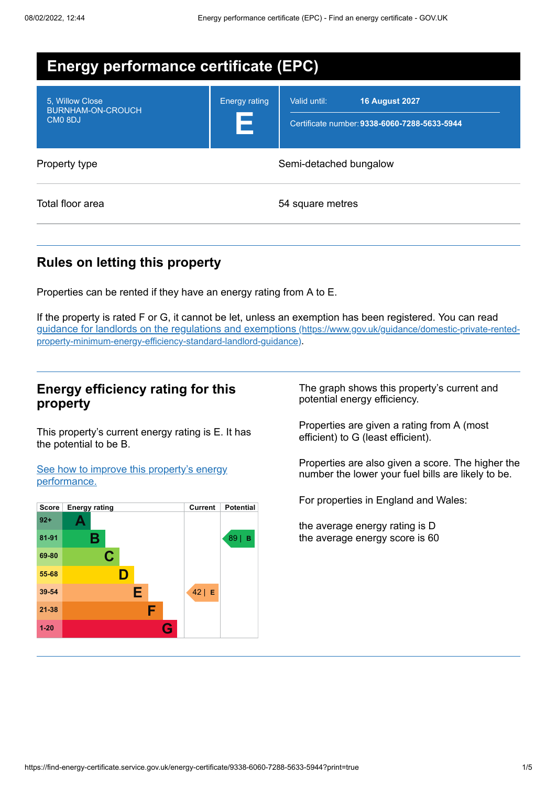| <b>Energy performance certificate (EPC)</b>                |                           |                                                                                       |
|------------------------------------------------------------|---------------------------|---------------------------------------------------------------------------------------|
| 5. Willow Close<br>BURNHAM-ON-CROUCH<br>CMO <sub>8DJ</sub> | <b>Energy rating</b><br>Ε | <b>16 August 2027</b><br>Valid until:<br>Certificate number: 9338-6060-7288-5633-5944 |
| Property type                                              | Semi-detached bungalow    |                                                                                       |
| Total floor area                                           |                           | 54 square metres                                                                      |

# **Rules on letting this property**

Properties can be rented if they have an energy rating from A to E.

If the property is rated F or G, it cannot be let, unless an exemption has been registered. You can read guidance for landlords on the regulations and exemptions (https://www.gov.uk/guidance/domestic-private-rented[property-minimum-energy-efficiency-standard-landlord-guidance\)](https://www.gov.uk/guidance/domestic-private-rented-property-minimum-energy-efficiency-standard-landlord-guidance).

## **Energy efficiency rating for this property**

This property's current energy rating is E. It has the potential to be B.

See how to improve this property's energy [performance.](#page-2-0)



The graph shows this property's current and potential energy efficiency.

Properties are given a rating from A (most efficient) to G (least efficient).

Properties are also given a score. The higher the number the lower your fuel bills are likely to be.

For properties in England and Wales:

the average energy rating is D the average energy score is 60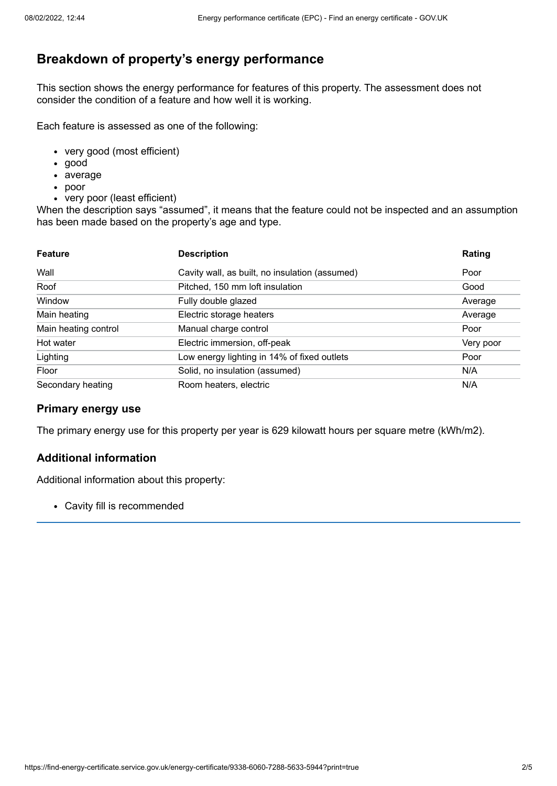# **Breakdown of property's energy performance**

This section shows the energy performance for features of this property. The assessment does not consider the condition of a feature and how well it is working.

Each feature is assessed as one of the following:

- very good (most efficient)
- good
- average
- poor
- very poor (least efficient)

When the description says "assumed", it means that the feature could not be inspected and an assumption has been made based on the property's age and type.

| <b>Feature</b>       | <b>Description</b>                             | Rating    |
|----------------------|------------------------------------------------|-----------|
| Wall                 | Cavity wall, as built, no insulation (assumed) | Poor      |
| Roof                 | Pitched, 150 mm loft insulation                | Good      |
| Window               | Fully double glazed                            | Average   |
| Main heating         | Electric storage heaters                       | Average   |
| Main heating control | Manual charge control                          | Poor      |
| Hot water            | Electric immersion, off-peak                   | Very poor |
| Lighting             | Low energy lighting in 14% of fixed outlets    | Poor      |
| Floor                | Solid, no insulation (assumed)                 | N/A       |
| Secondary heating    | Room heaters, electric                         | N/A       |

#### **Primary energy use**

The primary energy use for this property per year is 629 kilowatt hours per square metre (kWh/m2).

#### **Additional information**

Additional information about this property:

Cavity fill is recommended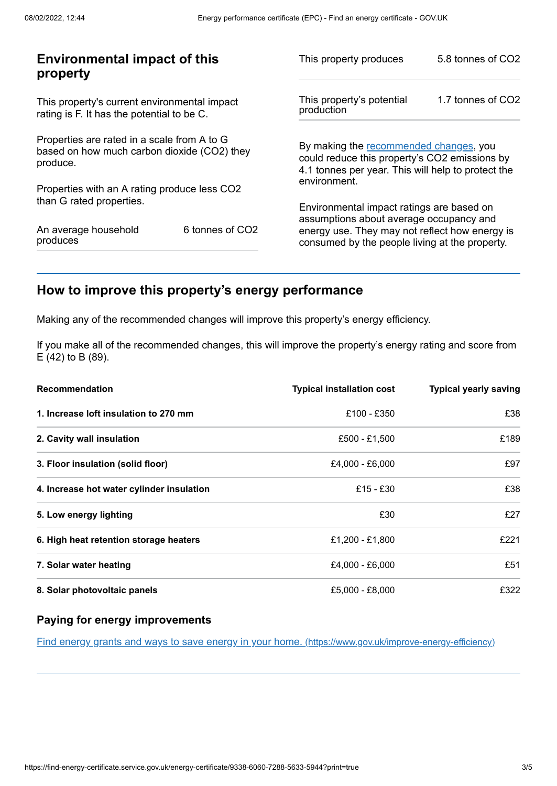| <b>Environmental impact of this</b><br>property                                                        |                 | This property produces                                                                                                                        | 5.8 tonnes of CO2 |
|--------------------------------------------------------------------------------------------------------|-----------------|-----------------------------------------------------------------------------------------------------------------------------------------------|-------------------|
| This property's current environmental impact<br>rating is F. It has the potential to be C.             |                 | This property's potential<br>production                                                                                                       | 1.7 tonnes of CO2 |
| Properties are rated in a scale from A to G<br>based on how much carbon dioxide (CO2) they<br>produce. |                 | By making the recommended changes, you<br>could reduce this property's CO2 emissions by<br>4.1 tonnes per year. This will help to protect the |                   |
| Properties with an A rating produce less CO2                                                           |                 | environment.                                                                                                                                  |                   |
| than G rated properties.                                                                               |                 | Environmental impact ratings are based on                                                                                                     |                   |
| An average household<br>produces                                                                       | 6 tonnes of CO2 | assumptions about average occupancy and<br>energy use. They may not reflect how energy is<br>consumed by the people living at the property.   |                   |
|                                                                                                        |                 |                                                                                                                                               |                   |

# <span id="page-2-0"></span>**How to improve this property's energy performance**

Making any of the recommended changes will improve this property's energy efficiency.

If you make all of the recommended changes, this will improve the property's energy rating and score from E (42) to B (89).

| Recommendation                            | <b>Typical installation cost</b> | <b>Typical yearly saving</b> |
|-------------------------------------------|----------------------------------|------------------------------|
| 1. Increase loft insulation to 270 mm     | £100 - £350                      | £38                          |
| 2. Cavity wall insulation                 | £500 - £1,500                    | £189                         |
| 3. Floor insulation (solid floor)         | £4,000 - £6,000                  | £97                          |
| 4. Increase hot water cylinder insulation | £15 - £30                        | £38                          |
| 5. Low energy lighting                    | £30                              | £27                          |
| 6. High heat retention storage heaters    | £1,200 - £1,800                  | £221                         |
| 7. Solar water heating                    | £4,000 - £6,000                  | £51                          |
| 8. Solar photovoltaic panels              | £5,000 - £8,000                  | £322                         |

#### **Paying for energy improvements**

Find energy grants and ways to save energy in your home. [\(https://www.gov.uk/improve-energy-efficiency\)](https://www.gov.uk/improve-energy-efficiency)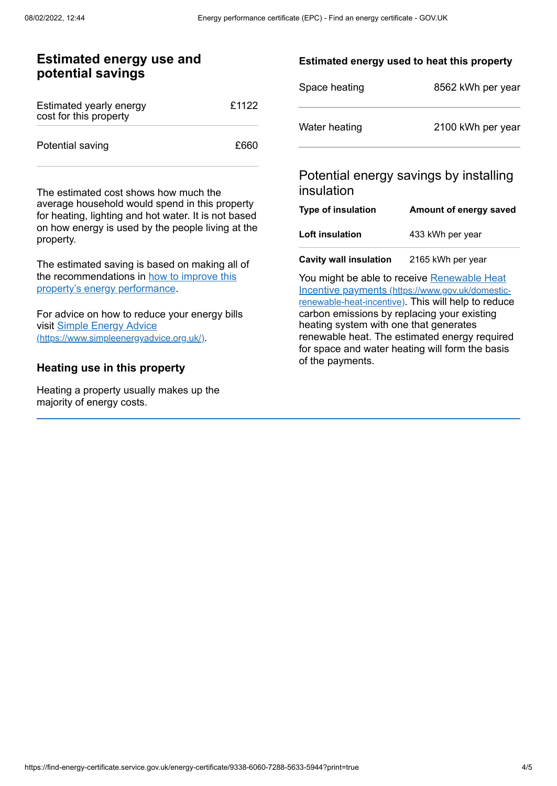### **Estimated energy use and potential savings**

| Estimated yearly energy<br>cost for this property | £1122 |
|---------------------------------------------------|-------|
| Potential saving                                  | £660  |

The estimated cost shows how much the average household would spend in this property for heating, lighting and hot water. It is not based on how energy is used by the people living at the property.

The estimated saving is based on making all of the [recommendations](#page-2-0) in how to improve this property's energy performance.

For advice on how to reduce your energy bills visit Simple Energy Advice [\(https://www.simpleenergyadvice.org.uk/\)](https://www.simpleenergyadvice.org.uk/).

#### **Heating use in this property**

Heating a property usually makes up the majority of energy costs.

#### **Estimated energy used to heat this property**

| Space heating | 8562 kWh per year |
|---------------|-------------------|
| Water heating | 2100 kWh per year |

## Potential energy savings by installing insulation

| Type of insulation     | Amount of energy saved |
|------------------------|------------------------|
| <b>Loft insulation</b> | 433 kWh per year       |
|                        |                        |

**Cavity wall insulation** 2165 kWh per year

You might be able to receive Renewable Heat Incentive payments [\(https://www.gov.uk/domestic](https://www.gov.uk/domestic-renewable-heat-incentive)renewable-heat-incentive). This will help to reduce carbon emissions by replacing your existing heating system with one that generates renewable heat. The estimated energy required for space and water heating will form the basis of the payments.